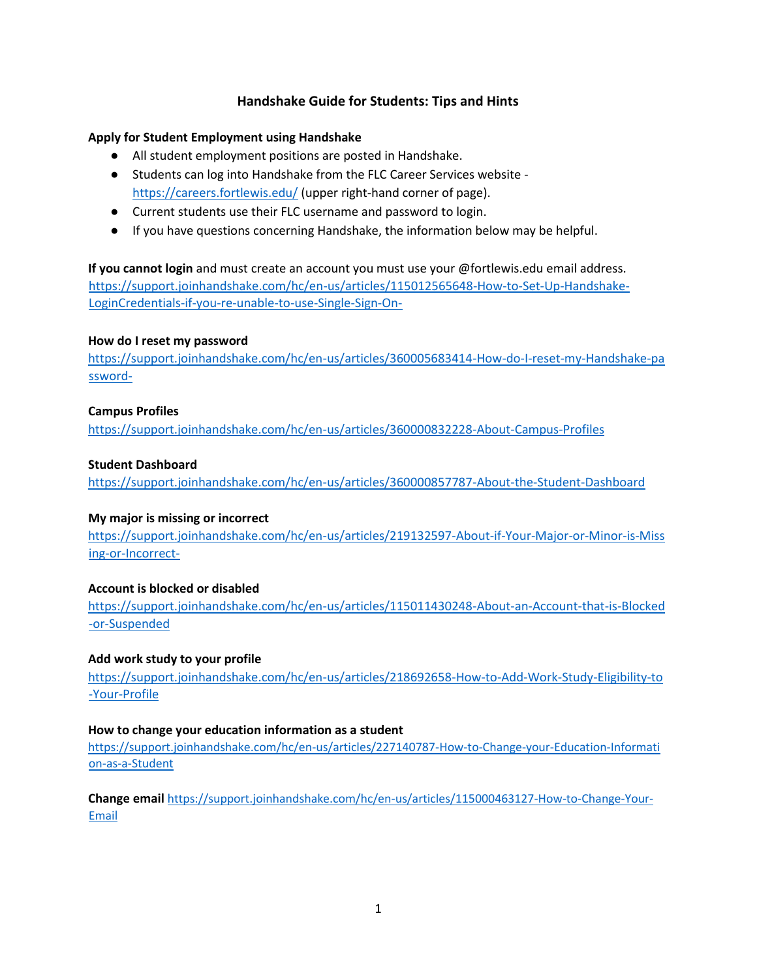# **Handshake Guide for Students: Tips and Hints**

## **Apply for Student Employment using Handshake**

- All student employment positions are posted in Handshake.
- Students can log into Handshake from the FLC Career Services website <https://careers.fortlewis.edu/> (upper right-hand corner of page).
- Current students use their FLC username and password to login.
- If you have questions concerning Handshake, the information below may be helpful.

**If you cannot login** and must create an account you must use your @fortlewis.edu email address. [https://support.joinhandshake.com/hc/en-us/articles/115012565648-How-to-Set-Up-Handshake-](https://support.joinhandshake.com/hc/en-us/articles/115012565648-How-to-Set-Up-Handshake-Login-Credentials-if-you-re-unable-to-use-Single-Sign-On-)[LoginCredentials-if-you-re-unable-to-use-Single-Sign-On-](https://support.joinhandshake.com/hc/en-us/articles/115012565648-How-to-Set-Up-Handshake-Login-Credentials-if-you-re-unable-to-use-Single-Sign-On-)

# **How do I reset my password**

[https://support.joinhandshake.com/hc/en-us/articles/360005683414-How-do-I-reset-my-Handshake-pa](https://support.joinhandshake.com/hc/en-us/articles/360005683414-How-do-I-reset-my-Handshake-password-)  [ssword-](https://support.joinhandshake.com/hc/en-us/articles/360005683414-How-do-I-reset-my-Handshake-password-)

## **Campus Profiles**

<https://support.joinhandshake.com/hc/en-us/articles/360000832228-About-Campus-Profiles>

## **Student Dashboard**

<https://support.joinhandshake.com/hc/en-us/articles/360000857787-About-the-Student-Dashboard>

#### **My major is missing or incorrect**

[https://support.joinhandshake.com/hc/en-us/articles/219132597-About-if-Your-Major-or-Minor-is-Miss](https://support.joinhandshake.com/hc/en-us/articles/219132597-About-if-Your-Major-or-Minor-is-Missing-or-Incorrect-)  [ing-or-Incorrect-](https://support.joinhandshake.com/hc/en-us/articles/219132597-About-if-Your-Major-or-Minor-is-Missing-or-Incorrect-)

# **Account is blocked or disabled**

[https://support.joinhandshake.com/hc/en-us/articles/115011430248-About-an-Account-that-is-Blocked](https://support.joinhandshake.com/hc/en-us/articles/115011430248-About-an-Account-that-is-Blocked-or-Suspended)  [-or-Suspended](https://support.joinhandshake.com/hc/en-us/articles/115011430248-About-an-Account-that-is-Blocked-or-Suspended)

# **Add work study to your profile**

[https://support.joinhandshake.com/hc/en-us/articles/218692658-How-to-Add-Work-Study-Eligibility-to](https://support.joinhandshake.com/hc/en-us/articles/218692658-How-to-Add-Work-Study-Eligibility-to-Your-Profile)  [-Your-Profile](https://support.joinhandshake.com/hc/en-us/articles/218692658-How-to-Add-Work-Study-Eligibility-to-Your-Profile)

# **How to change your education information as a student**

[https://support.joinhandshake.com/hc/en-us/articles/227140787-How-to-Change-your-Education-Informati](https://support.joinhandshake.com/hc/en-us/articles/227140787-How-to-Change-your-Education-Information-as-a-Student)  [on-as-a-Student](https://support.joinhandshake.com/hc/en-us/articles/227140787-How-to-Change-your-Education-Information-as-a-Student)

**Change email** [https://support.joinhandshake.com/hc/en-us/articles/115000463127-How-to-Change-Your-](https://support.joinhandshake.com/hc/en-us/articles/115000463127-How-to-Change-Your-Email)[Email](https://support.joinhandshake.com/hc/en-us/articles/115000463127-How-to-Change-Your-Email)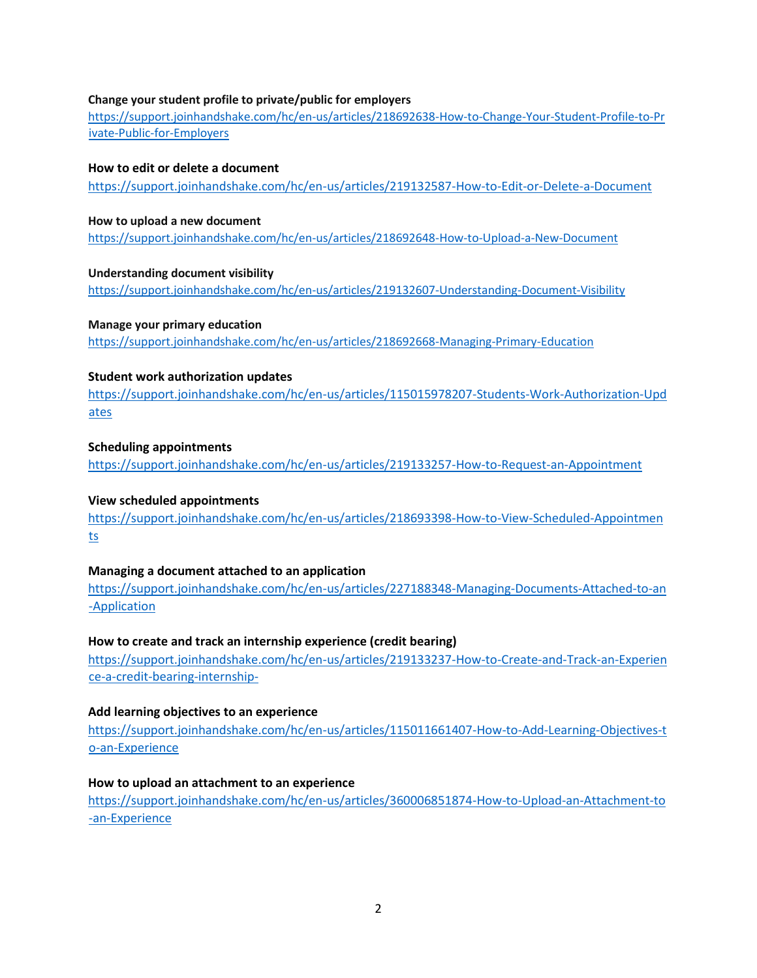#### **Change your student profile to private/public for employers**

[https://support.joinhandshake.com/hc/en-us/articles/218692638-How-to-Change-Your-Student-Profile-to-Pr](https://support.joinhandshake.com/hc/en-us/articles/218692638-How-to-Change-Your-Student-Profile-to-Private-Public-for-Employers)  [ivate-Public-for-Employers](https://support.joinhandshake.com/hc/en-us/articles/218692638-How-to-Change-Your-Student-Profile-to-Private-Public-for-Employers)

## **How to edit or delete a document**

<https://support.joinhandshake.com/hc/en-us/articles/219132587-How-to-Edit-or-Delete-a-Document>

#### **How to upload a new document**

<https://support.joinhandshake.com/hc/en-us/articles/218692648-How-to-Upload-a-New-Document>

## **Understanding document visibility**

<https://support.joinhandshake.com/hc/en-us/articles/219132607-Understanding-Document-Visibility>

## **Manage your primary education**

<https://support.joinhandshake.com/hc/en-us/articles/218692668-Managing-Primary-Education>

# **Student work authorization updates**

[https://support.joinhandshake.com/hc/en-us/articles/115015978207-Students-Work-Authorization-Upd](https://support.joinhandshake.com/hc/en-us/articles/115015978207-Students-Work-Authorization-Updates)  [ates](https://support.joinhandshake.com/hc/en-us/articles/115015978207-Students-Work-Authorization-Updates)

# **Scheduling appointments**

<https://support.joinhandshake.com/hc/en-us/articles/219133257-How-to-Request-an-Appointment>

# **View scheduled appointments**

[https://support.joinhandshake.com/hc/en-us/articles/218693398-How-to-View-Scheduled-Appointmen](https://support.joinhandshake.com/hc/en-us/articles/218693398-How-to-View-Scheduled-Appointments)  [ts](https://support.joinhandshake.com/hc/en-us/articles/218693398-How-to-View-Scheduled-Appointments)

# **Managing a document attached to an application**

[https://support.joinhandshake.com/hc/en-us/articles/227188348-Managing-Documents-Attached-to-an](https://support.joinhandshake.com/hc/en-us/articles/227188348-Managing-Documents-Attached-to-an-Application)  [-Application](https://support.joinhandshake.com/hc/en-us/articles/227188348-Managing-Documents-Attached-to-an-Application)

# **How to create and track an internship experience (credit bearing)**

[https://support.joinhandshake.com/hc/en-us/articles/219133237-How-to-Create-and-Track-an-Experien](https://support.joinhandshake.com/hc/en-us/articles/219133237-How-to-Create-and-Track-an-Experience-a-credit-bearing-internship-)  [ce-a-credit-bearing-internship-](https://support.joinhandshake.com/hc/en-us/articles/219133237-How-to-Create-and-Track-an-Experience-a-credit-bearing-internship-)

#### **Add learning objectives to an experience**

[https://support.joinhandshake.com/hc/en-us/articles/115011661407-How-to-Add-Learning-Objectives-t](https://support.joinhandshake.com/hc/en-us/articles/115011661407-How-to-Add-Learning-Objectives-to-an-Experience)  [o-an-Experience](https://support.joinhandshake.com/hc/en-us/articles/115011661407-How-to-Add-Learning-Objectives-to-an-Experience)

#### **How to upload an attachment to an experience**

[https://support.joinhandshake.com/hc/en-us/articles/360006851874-How-to-Upload-an-Attachment-to](https://support.joinhandshake.com/hc/en-us/articles/360006851874-How-to-Upload-an-Attachment-to-an-Experience)  [-an-Experience](https://support.joinhandshake.com/hc/en-us/articles/360006851874-How-to-Upload-an-Attachment-to-an-Experience)